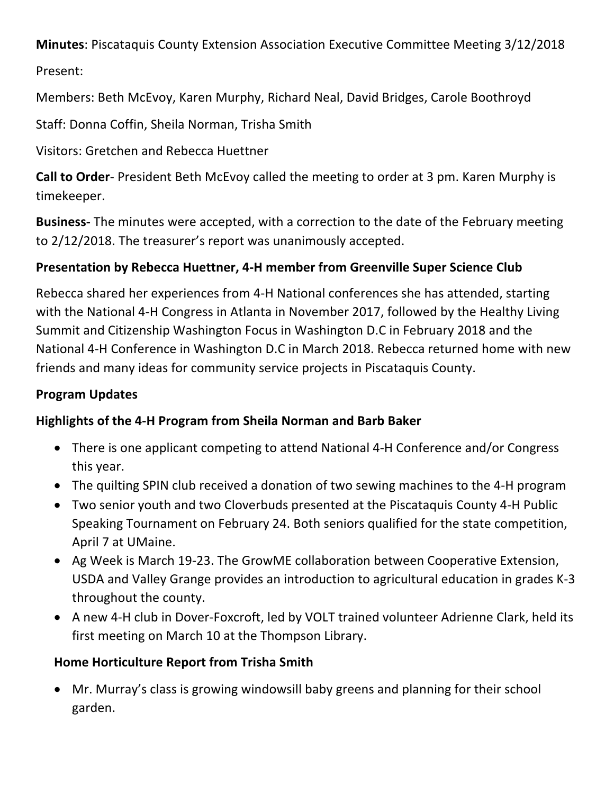**Minutes**: Piscataquis County Extension Association Executive Committee Meeting 3/12/2018

Present: 

Members: Beth McEvoy, Karen Murphy, Richard Neal, David Bridges, Carole Boothroyd

Staff: Donna Coffin, Sheila Norman, Trisha Smith

Visitors: Gretchen and Rebecca Huettner

**Call to Order**- President Beth McEvoy called the meeting to order at 3 pm. Karen Murphy is timekeeper.

**Business-** The minutes were accepted, with a correction to the date of the February meeting to 2/12/2018. The treasurer's report was unanimously accepted.

# **Presentation by Rebecca Huettner, 4-H member from Greenville Super Science Club**

Rebecca shared her experiences from 4-H National conferences she has attended, starting with the National 4-H Congress in Atlanta in November 2017, followed by the Healthy Living Summit and Citizenship Washington Focus in Washington D.C in February 2018 and the National 4-H Conference in Washington D.C in March 2018. Rebecca returned home with new friends and many ideas for community service projects in Piscataquis County.

### **Program Updates**

# **Highlights of the 4-H Program from Sheila Norman and Barb Baker**

- There is one applicant competing to attend National 4-H Conference and/or Congress this year.
- The quilting SPIN club received a donation of two sewing machines to the 4-H program
- Two senior youth and two Cloverbuds presented at the Piscataquis County 4-H Public Speaking Tournament on February 24. Both seniors qualified for the state competition, April 7 at UMaine.
- Ag Week is March 19-23. The GrowME collaboration between Cooperative Extension, USDA and Valley Grange provides an introduction to agricultural education in grades K-3 throughout the county.
- A new 4-H club in Dover-Foxcroft, led by VOLT trained volunteer Adrienne Clark, held its first meeting on March 10 at the Thompson Library.

# **Home Horticulture Report from Trisha Smith**

• Mr. Murray's class is growing windowsill baby greens and planning for their school garden.